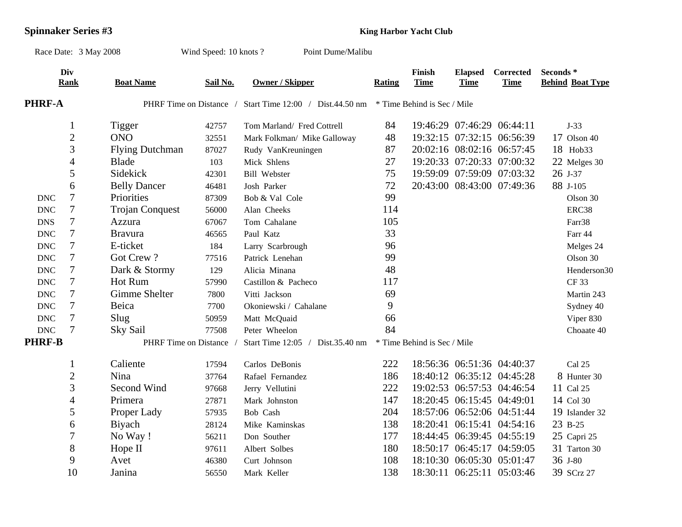## **Spinnaker Series #3 King Harbor Yacht Club**

|                           | Race Date: 3 May 2008 |                         | Wind Speed: 10 knots? | Point Dume/Malibu                |        |                             |                               |                            |                                                 |
|---------------------------|-----------------------|-------------------------|-----------------------|----------------------------------|--------|-----------------------------|-------------------------------|----------------------------|-------------------------------------------------|
|                           | Div<br><b>Rank</b>    | <b>Boat Name</b>        | Sail No.              | <b>Owner / Skipper</b>           | Rating | Finish<br><b>Time</b>       | <b>Elapsed</b><br><b>Time</b> | Corrected<br><b>Time</b>   | Seconds <sup>*</sup><br><b>Behind Boat Type</b> |
| <b>PHRF-A</b>             |                       | PHRF Time on Distance / |                       | Start Time 12:00 / Dist.44.50 nm |        | * Time Behind is Sec / Mile |                               |                            |                                                 |
|                           | $\mathbf{1}$          | Tigger                  | 42757                 | Tom Marland/ Fred Cottrell       | 84     |                             |                               | 19:46:29 07:46:29 06:44:11 | $J-33$                                          |
|                           | $\overline{2}$        | <b>ONO</b>              | 32551                 | Mark Folkman/ Mike Galloway      | 48     |                             |                               | 19:32:15 07:32:15 06:56:39 | $17$ Olson $40$                                 |
|                           | $\overline{3}$        | <b>Flying Dutchman</b>  | 87027                 | Rudy VanKreuningen               | 87     |                             |                               | 20:02:16 08:02:16 06:57:45 | 18 Hob33                                        |
|                           | $\overline{4}$        | <b>Blade</b>            | 103                   | Mick Shlens                      | 27     |                             |                               | 19:20:33 07:20:33 07:00:32 | 22 Melges 30                                    |
|                           | 5                     | Sidekick                | 42301                 | <b>Bill Webster</b>              | 75     |                             |                               | 19:59:09 07:59:09 07:03:32 | 26 J-37                                         |
|                           | 6                     | <b>Belly Dancer</b>     | 46481                 | Josh Parker                      | 72     |                             |                               | 20:43:00 08:43:00 07:49:36 | 88 J-105                                        |
| <b>DNC</b>                | $\overline{7}$        | Priorities              | 87309                 | Bob & Val Cole                   | 99     |                             |                               |                            | Olson 30                                        |
| <b>DNC</b>                | $\tau$                | <b>Trojan Conquest</b>  | 56000                 | Alan Cheeks                      | 114    |                             |                               |                            | ERC38                                           |
| <b>DNS</b>                | $\boldsymbol{7}$      | Azzura                  | 67067                 | Tom Cahalane                     | 105    |                             |                               |                            | Farr38                                          |
| <b>DNC</b>                | $\tau$                | <b>Bravura</b>          | 46565                 | Paul Katz                        | 33     |                             |                               |                            | Farr 44                                         |
| <b>DNC</b>                | $\tau$                | E-ticket                | 184                   | Larry Scarbrough                 | 96     |                             |                               |                            | Melges 24                                       |
| <b>DNC</b>                | $\tau$                | Got Crew?               | 77516                 | Patrick Lenehan                  | 99     |                             |                               |                            | Olson 30                                        |
| <b>DNC</b>                | $\tau$                | Dark & Stormy           | 129                   | Alicia Minana                    | 48     |                             |                               |                            | Henderson30                                     |
| <b>DNC</b>                | $\tau$                | Hot Rum                 | 57990                 | Castillon & Pacheco              | 117    |                             |                               |                            | <b>CF33</b>                                     |
| $\operatorname{DNC}$      | $\tau$                | Gimme Shelter           | 7800                  | Vitti Jackson                    | 69     |                             |                               |                            | Martin 243                                      |
| <b>DNC</b>                | $\tau$                | Beica                   | 7700                  | Okoniewski / Cahalane            | 9      |                             |                               |                            | Sydney 40                                       |
| $\ensuremath{\text{DNC}}$ | $\tau$                | Slug                    | 50959                 | Matt McQuaid                     | 66     |                             |                               |                            | Viper 830                                       |
| $\operatorname{DNC}$      | $\overline{7}$        | Sky Sail                | 77508                 | Peter Wheelon                    | 84     |                             |                               |                            | Choaate 40                                      |
| <b>PHRF-B</b>             |                       | PHRF Time on Distance   |                       | Start Time 12:05 / Dist.35.40 nm |        | * Time Behind is Sec / Mile |                               |                            |                                                 |
|                           | $\mathbf{1}$          | Caliente                | 17594                 | Carlos DeBonis                   | 222    |                             |                               | 18:56:36 06:51:36 04:40:37 | Cal 25                                          |
|                           | $\overline{c}$        | Nina                    | 37764                 | Rafael Fernandez                 | 186    |                             |                               | 18:40:12 06:35:12 04:45:28 | 8 Hunter 30                                     |
|                           | 3                     | Second Wind             | 97668                 | Jerry Vellutini                  | 222    |                             |                               | 19:02:53 06:57:53 04:46:54 | 11 Cal 25                                       |
|                           | $\overline{4}$        | Primera                 | 27871                 | Mark Johnston                    | 147    |                             |                               | 18:20:45 06:15:45 04:49:01 | 14 Col 30                                       |
|                           | 5                     | Proper Lady             | 57935                 | Bob Cash                         | 204    |                             |                               | 18:57:06 06:52:06 04:51:44 | 19 Islander 32                                  |
|                           | 6                     | <b>B</b> iyach          | 28124                 | Mike Kaminskas                   | 138    |                             |                               | 18:20:41 06:15:41 04:54:16 | 23 B-25                                         |
|                           | $\tau$                | No Way!                 | 56211                 | Don Souther                      | 177    |                             |                               | 18:44:45 06:39:45 04:55:19 | 25 Capri 25                                     |
|                           | $8\,$                 | Hope II                 | 97611                 | Albert Solbes                    | 180    |                             |                               | 18:50:17 06:45:17 04:59:05 | 31 Tarton 30                                    |
|                           | 9                     | Avet                    | 46380                 | Curt Johnson                     | 108    |                             |                               | 18:10:30 06:05:30 05:01:47 | 36 J-80                                         |
|                           | 10                    | Janina                  | 56550                 | Mark Keller                      | 138    |                             |                               | 18:30:11 06:25:11 05:03:46 | 39 SCrz 27                                      |